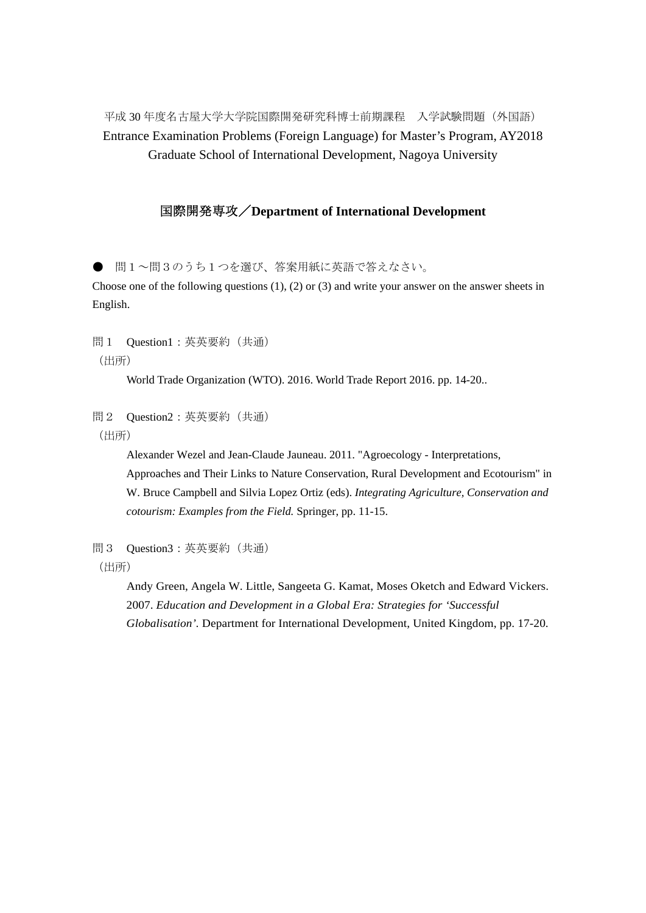平成 30 年度名古屋大学大学院国際開発研究科博士前期課程 入学試験問題(外国語) Entrance Examination Problems (Foreign Language) for Master's Program, AY2018 Graduate School of International Development, Nagoya University

## 国際開発専攻/**Department of International Development**

問1~問3のうち1つを選び、答案用紙に英語で答えなさい。

Choose one of the following questions  $(1)$ ,  $(2)$  or  $(3)$  and write your answer on the answer sheets in English.

問1 Question1:英英要約(共通) (出所)

World Trade Organization (WTO). 2016. World Trade Report 2016. pp. 14-20..

問2 Question2:英英要約(共通)

(出所)

 Alexander Wezel and Jean-Claude Jauneau. 2011. "Agroecology - Interpretations, Approaches and Their Links to Nature Conservation, Rural Development and Ecotourism" in W. Bruce Campbell and Silvia Lopez Ortiz (eds). *Integrating Agriculture, Conservation and cotourism: Examples from the Field.* Springer, pp. 11-15.

問3 Question3:英英要約(共通) (出所)

> Andy Green, Angela W. Little, Sangeeta G. Kamat, Moses Oketch and Edward Vickers. 2007. *Education and Development in a Global Era: Strategies for 'Successful Globalisation'.* Department for International Development, United Kingdom, pp. 17-20.